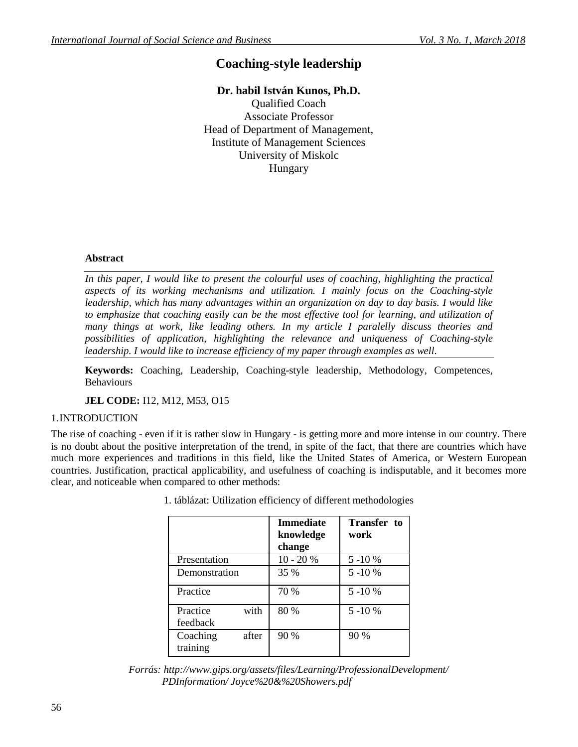# **Coaching-style leadership**

## **Dr. habil István Kunos, Ph.D.**

Qualified Coach Associate Professor Head of Department of Management, Institute of Management Sciences University of Miskolc Hungary

#### **Abstract**

*In this paper, I would like to present the colourful uses of coaching, highlighting the practical aspects of its working mechanisms and utilization. I mainly focus on the Coaching-style leadership, which has many advantages within an organization on day to day basis. I would like to emphasize that coaching easily can be the most effective tool for learning, and utilization of many things at work, like leading others. In my article I paralelly discuss theories and possibilities of application, highlighting the relevance and uniqueness of Coaching-style leadership. I would like to increase efficiency of my paper through examples as well.*

**Keywords:** Coaching, Leadership, Coaching-style leadership, Methodology, Competences, Behaviours

**JEL CODE:** I12, M12, M53, O15

#### 1.INTRODUCTION

The rise of coaching - even if it is rather slow in Hungary - is getting more and more intense in our country. There is no doubt about the positive interpretation of the trend, in spite of the fact, that there are countries which have much more experiences and traditions in this field, like the United States of America, or Western European countries. Justification, practical applicability, and usefulness of coaching is indisputable, and it becomes more clear, and noticeable when compared to other methods:

|                      |       | <b>Immediate</b><br>knowledge<br>change | <b>Transfer</b> to<br>work |
|----------------------|-------|-----------------------------------------|----------------------------|
| Presentation         |       | $10 - 20%$                              | 5 - 10 %                   |
| Demonstration        |       | 35 %                                    | $5 - 10%$                  |
| Practice             |       | 70 %                                    | $5 - 10 \%$                |
| Practice<br>feedback | with  | 80 %                                    | $5 - 10 \%$                |
| Coaching<br>training | after | 90 %                                    | 90 %                       |

1. táblázat: Utilization efficiency of different methodologies

*Forrás: http://www.gips.org/assets/files/Learning/ProfessionalDevelopment/ PDInformation/ Joyce%20&%20Showers.pdf*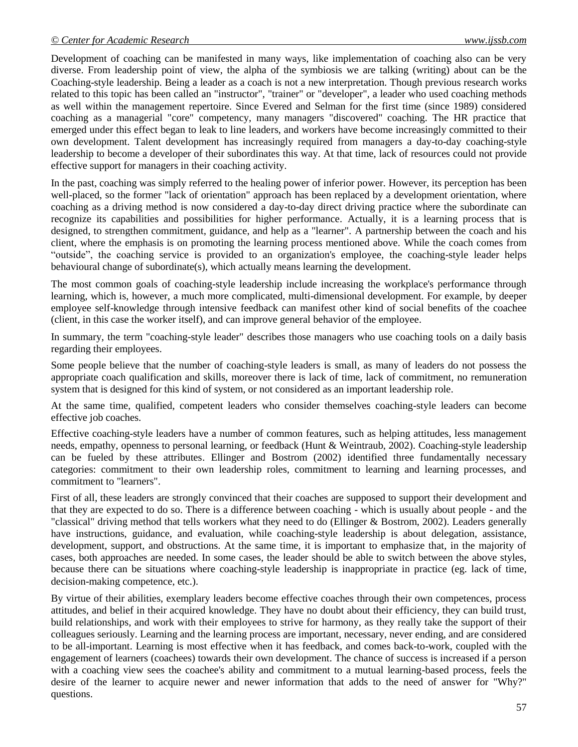Development of coaching can be manifested in many ways, like implementation of coaching also can be very diverse. From leadership point of view, the alpha of the symbiosis we are talking (writing) about can be the Coaching-style leadership. Being a leader as a coach is not a new interpretation. Though previous research works related to this topic has been called an "instructor", "trainer" or "developer", a leader who used coaching methods as well within the management repertoire. Since Evered and Selman for the first time (since 1989) considered coaching as a managerial "core" competency, many managers "discovered" coaching. The HR practice that emerged under this effect began to leak to line leaders, and workers have become increasingly committed to their own development. Talent development has increasingly required from managers a day-to-day coaching-style leadership to become a developer of their subordinates this way. At that time, lack of resources could not provide effective support for managers in their coaching activity.

In the past, coaching was simply referred to the healing power of inferior power. However, its perception has been well-placed, so the former "lack of orientation" approach has been replaced by a development orientation, where coaching as a driving method is now considered a day-to-day direct driving practice where the subordinate can recognize its capabilities and possibilities for higher performance. Actually, it is a learning process that is designed, to strengthen commitment, guidance, and help as a "learner". A partnership between the coach and his client, where the emphasis is on promoting the learning process mentioned above. While the coach comes from "outside", the coaching service is provided to an organization's employee, the coaching-style leader helps behavioural change of subordinate(s), which actually means learning the development.

The most common goals of coaching-style leadership include increasing the workplace's performance through learning, which is, however, a much more complicated, multi-dimensional development. For example, by deeper employee self-knowledge through intensive feedback can manifest other kind of social benefits of the coachee (client, in this case the worker itself), and can improve general behavior of the employee.

In summary, the term "coaching-style leader" describes those managers who use coaching tools on a daily basis regarding their employees.

Some people believe that the number of coaching-style leaders is small, as many of leaders do not possess the appropriate coach qualification and skills, moreover there is lack of time, lack of commitment, no remuneration system that is designed for this kind of system, or not considered as an important leadership role.

At the same time, qualified, competent leaders who consider themselves coaching-style leaders can become effective job coaches.

Effective coaching-style leaders have a number of common features, such as helping attitudes, less management needs, empathy, openness to personal learning, or feedback (Hunt & Weintraub, 2002). Coaching-style leadership can be fueled by these attributes. Ellinger and Bostrom (2002) identified three fundamentally necessary categories: commitment to their own leadership roles, commitment to learning and learning processes, and commitment to "learners".

First of all, these leaders are strongly convinced that their coaches are supposed to support their development and that they are expected to do so. There is a difference between coaching - which is usually about people - and the "classical" driving method that tells workers what they need to do (Ellinger & Bostrom, 2002). Leaders generally have instructions, guidance, and evaluation, while coaching-style leadership is about delegation, assistance, development, support, and obstructions. At the same time, it is important to emphasize that, in the majority of cases, both approaches are needed. In some cases, the leader should be able to switch between the above styles, because there can be situations where coaching-style leadership is inappropriate in practice (eg. lack of time, decision-making competence, etc.).

By virtue of their abilities, exemplary leaders become effective coaches through their own competences, process attitudes, and belief in their acquired knowledge. They have no doubt about their efficiency, they can build trust, build relationships, and work with their employees to strive for harmony, as they really take the support of their colleagues seriously. Learning and the learning process are important, necessary, never ending, and are considered to be all-important. Learning is most effective when it has feedback, and comes back-to-work, coupled with the engagement of learners (coachees) towards their own development. The chance of success is increased if a person with a coaching view sees the coachee's ability and commitment to a mutual learning-based process, feels the desire of the learner to acquire newer and newer information that adds to the need of answer for "Why?" questions.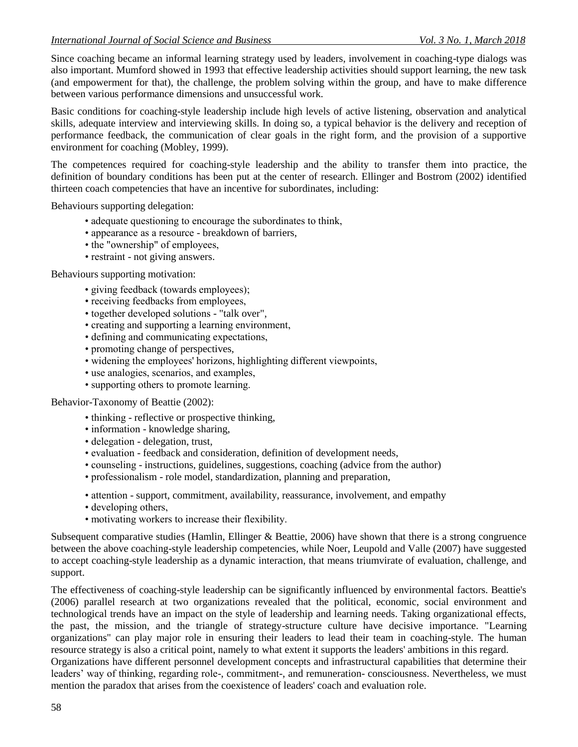Since coaching became an informal learning strategy used by leaders, involvement in coaching-type dialogs was also important. Mumford showed in 1993 that effective leadership activities should support learning, the new task (and empowerment for that), the challenge, the problem solving within the group, and have to make difference between various performance dimensions and unsuccessful work.

Basic conditions for coaching-style leadership include high levels of active listening, observation and analytical skills, adequate interview and interviewing skills. In doing so, a typical behavior is the delivery and reception of performance feedback, the communication of clear goals in the right form, and the provision of a supportive environment for coaching (Mobley, 1999).

The competences required for coaching-style leadership and the ability to transfer them into practice, the definition of boundary conditions has been put at the center of research. Ellinger and Bostrom (2002) identified thirteen coach competencies that have an incentive for subordinates, including:

Behaviours supporting delegation:

- adequate questioning to encourage the subordinates to think,
- appearance as a resource breakdown of barriers,
- the "ownership" of employees,
- restraint not giving answers.

Behaviours supporting motivation:

- giving feedback (towards employees);
- receiving feedbacks from employees,
- together developed solutions "talk over",
- creating and supporting a learning environment,
- defining and communicating expectations,
- promoting change of perspectives,
- widening the employees' horizons, highlighting different viewpoints,
- use analogies, scenarios, and examples,
- supporting others to promote learning.

Behavior-Taxonomy of Beattie (2002):

- thinking reflective or prospective thinking,
- information knowledge sharing,
- delegation delegation, trust,
- evaluation feedback and consideration, definition of development needs,
- counseling instructions, guidelines, suggestions, coaching (advice from the author)
- professionalism role model, standardization, planning and preparation,
- attention support, commitment, availability, reassurance, involvement, and empathy
- developing others,
- motivating workers to increase their flexibility.

Subsequent comparative studies (Hamlin, Ellinger & Beattie, 2006) have shown that there is a strong congruence between the above coaching-style leadership competencies, while Noer, Leupold and Valle (2007) have suggested to accept coaching-style leadership as a dynamic interaction, that means triumvirate of evaluation, challenge, and support.

The effectiveness of coaching-style leadership can be significantly influenced by environmental factors. Beattie's (2006) parallel research at two organizations revealed that the political, economic, social environment and technological trends have an impact on the style of leadership and learning needs. Taking organizational effects, the past, the mission, and the triangle of strategy-structure culture have decisive importance. "Learning organizations" can play major role in ensuring their leaders to lead their team in coaching-style. The human resource strategy is also a critical point, namely to what extent it supports the leaders' ambitions in this regard.

Organizations have different personnel development concepts and infrastructural capabilities that determine their leaders' way of thinking, regarding role-, commitment-, and remuneration- consciousness. Nevertheless, we must mention the paradox that arises from the coexistence of leaders' coach and evaluation role.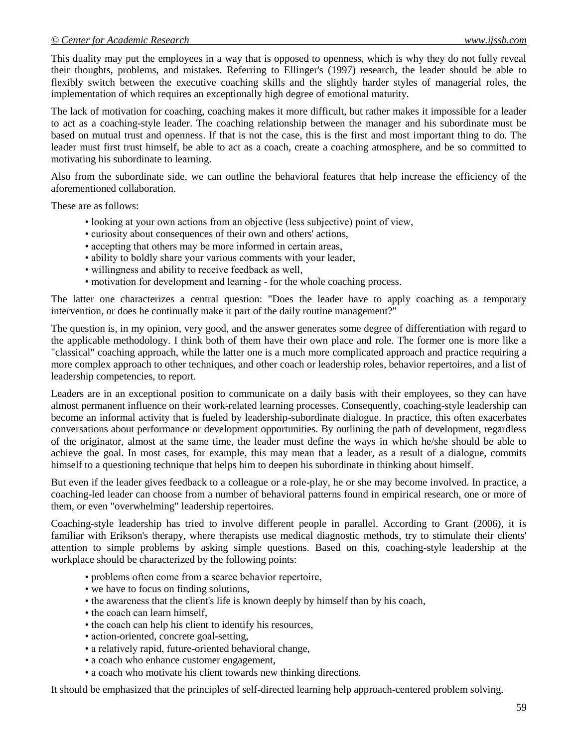This duality may put the employees in a way that is opposed to openness, which is why they do not fully reveal their thoughts, problems, and mistakes. Referring to Ellinger's (1997) research, the leader should be able to flexibly switch between the executive coaching skills and the slightly harder styles of managerial roles, the implementation of which requires an exceptionally high degree of emotional maturity.

The lack of motivation for coaching, coaching makes it more difficult, but rather makes it impossible for a leader to act as a coaching-style leader. The coaching relationship between the manager and his subordinate must be based on mutual trust and openness. If that is not the case, this is the first and most important thing to do. The leader must first trust himself, be able to act as a coach, create a coaching atmosphere, and be so committed to motivating his subordinate to learning.

Also from the subordinate side, we can outline the behavioral features that help increase the efficiency of the aforementioned collaboration.

These are as follows:

- looking at your own actions from an objective (less subjective) point of view,
- curiosity about consequences of their own and others' actions,
- accepting that others may be more informed in certain areas,
- ability to boldly share your various comments with your leader,
- willingness and ability to receive feedback as well,
- motivation for development and learning for the whole coaching process.

The latter one characterizes a central question: "Does the leader have to apply coaching as a temporary intervention, or does he continually make it part of the daily routine management?"

The question is, in my opinion, very good, and the answer generates some degree of differentiation with regard to the applicable methodology. I think both of them have their own place and role. The former one is more like a "classical" coaching approach, while the latter one is a much more complicated approach and practice requiring a more complex approach to other techniques, and other coach or leadership roles, behavior repertoires, and a list of leadership competencies, to report.

Leaders are in an exceptional position to communicate on a daily basis with their employees, so they can have almost permanent influence on their work-related learning processes. Consequently, coaching-style leadership can become an informal activity that is fueled by leadership-subordinate dialogue. In practice, this often exacerbates conversations about performance or development opportunities. By outlining the path of development, regardless of the originator, almost at the same time, the leader must define the ways in which he/she should be able to achieve the goal. In most cases, for example, this may mean that a leader, as a result of a dialogue, commits himself to a questioning technique that helps him to deepen his subordinate in thinking about himself.

But even if the leader gives feedback to a colleague or a role-play, he or she may become involved. In practice, a coaching-led leader can choose from a number of behavioral patterns found in empirical research, one or more of them, or even "overwhelming" leadership repertoires.

Coaching-style leadership has tried to involve different people in parallel. According to Grant (2006), it is familiar with Erikson's therapy, where therapists use medical diagnostic methods, try to stimulate their clients' attention to simple problems by asking simple questions. Based on this, coaching-style leadership at the workplace should be characterized by the following points:

- problems often come from a scarce behavior repertoire,
- we have to focus on finding solutions,
- the awareness that the client's life is known deeply by himself than by his coach,
- the coach can learn himself,
- the coach can help his client to identify his resources,
- action-oriented, concrete goal-setting,
- a relatively rapid, future-oriented behavioral change,
- a coach who enhance customer engagement,
- a coach who motivate his client towards new thinking directions.

It should be emphasized that the principles of self-directed learning help approach-centered problem solving.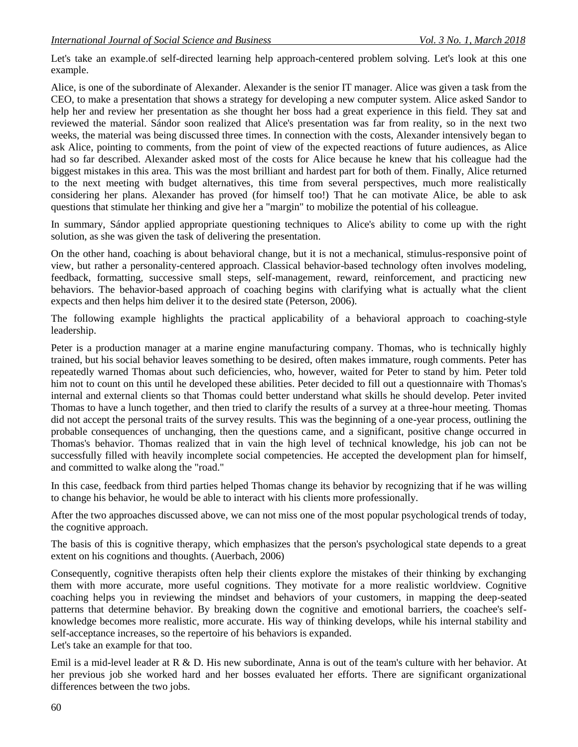Let's take an example.of self-directed learning help approach-centered problem solving. Let's look at this one example.

Alice, is one of the subordinate of Alexander. Alexander is the senior IT manager. Alice was given a task from the CEO, to make a presentation that shows a strategy for developing a new computer system. Alice asked Sandor to help her and review her presentation as she thought her boss had a great experience in this field. They sat and reviewed the material. Sándor soon realized that Alice's presentation was far from reality, so in the next two weeks, the material was being discussed three times. In connection with the costs, Alexander intensively began to ask Alice, pointing to comments, from the point of view of the expected reactions of future audiences, as Alice had so far described. Alexander asked most of the costs for Alice because he knew that his colleague had the biggest mistakes in this area. This was the most brilliant and hardest part for both of them. Finally, Alice returned to the next meeting with budget alternatives, this time from several perspectives, much more realistically considering her plans. Alexander has proved (for himself too!) That he can motivate Alice, be able to ask questions that stimulate her thinking and give her a "margin" to mobilize the potential of his colleague.

In summary, Sándor applied appropriate questioning techniques to Alice's ability to come up with the right solution, as she was given the task of delivering the presentation.

On the other hand, coaching is about behavioral change, but it is not a mechanical, stimulus-responsive point of view, but rather a personality-centered approach. Classical behavior-based technology often involves modeling, feedback, formatting, successive small steps, self-management, reward, reinforcement, and practicing new behaviors. The behavior-based approach of coaching begins with clarifying what is actually what the client expects and then helps him deliver it to the desired state (Peterson, 2006).

The following example highlights the practical applicability of a behavioral approach to coaching-style leadership.

Peter is a production manager at a marine engine manufacturing company. Thomas, who is technically highly trained, but his social behavior leaves something to be desired, often makes immature, rough comments. Peter has repeatedly warned Thomas about such deficiencies, who, however, waited for Peter to stand by him. Peter told him not to count on this until he developed these abilities. Peter decided to fill out a questionnaire with Thomas's internal and external clients so that Thomas could better understand what skills he should develop. Peter invited Thomas to have a lunch together, and then tried to clarify the results of a survey at a three-hour meeting. Thomas did not accept the personal traits of the survey results. This was the beginning of a one-year process, outlining the probable consequences of unchanging, then the questions came, and a significant, positive change occurred in Thomas's behavior. Thomas realized that in vain the high level of technical knowledge, his job can not be successfully filled with heavily incomplete social competencies. He accepted the development plan for himself, and committed to walke along the "road."

In this case, feedback from third parties helped Thomas change its behavior by recognizing that if he was willing to change his behavior, he would be able to interact with his clients more professionally.

After the two approaches discussed above, we can not miss one of the most popular psychological trends of today, the cognitive approach.

The basis of this is cognitive therapy, which emphasizes that the person's psychological state depends to a great extent on his cognitions and thoughts. (Auerbach, 2006)

Consequently, cognitive therapists often help their clients explore the mistakes of their thinking by exchanging them with more accurate, more useful cognitions. They motivate for a more realistic worldview. Cognitive coaching helps you in reviewing the mindset and behaviors of your customers, in mapping the deep-seated patterns that determine behavior. By breaking down the cognitive and emotional barriers, the coachee's selfknowledge becomes more realistic, more accurate. His way of thinking develops, while his internal stability and self-acceptance increases, so the repertoire of his behaviors is expanded.

Let's take an example for that too.

Emil is a mid-level leader at R & D. His new subordinate, Anna is out of the team's culture with her behavior. At her previous job she worked hard and her bosses evaluated her efforts. There are significant organizational differences between the two jobs.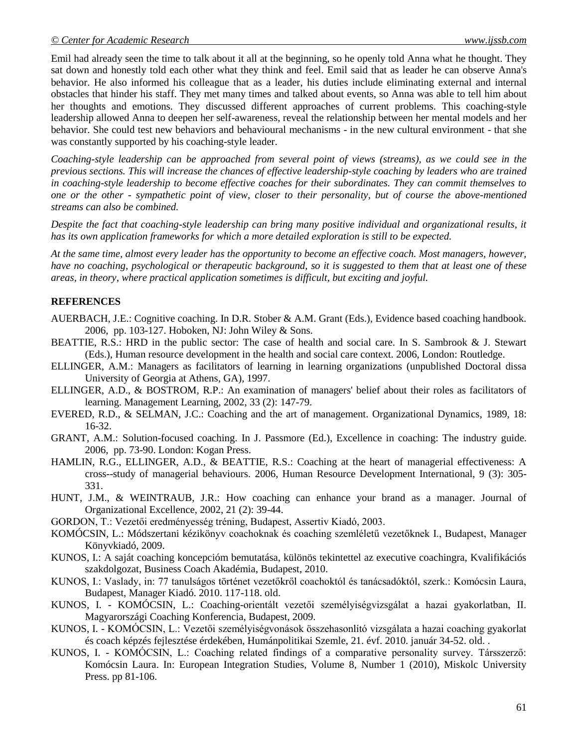Emil had already seen the time to talk about it all at the beginning, so he openly told Anna what he thought. They sat down and honestly told each other what they think and feel. Emil said that as leader he can observe Anna's behavior. He also informed his colleague that as a leader, his duties include eliminating external and internal obstacles that hinder his staff. They met many times and talked about events, so Anna was able to tell him about her thoughts and emotions. They discussed different approaches of current problems. This coaching-style leadership allowed Anna to deepen her self-awareness, reveal the relationship between her mental models and her behavior. She could test new behaviors and behavioural mechanisms - in the new cultural environment - that she was constantly supported by his coaching-style leader.

*Coaching-style leadership can be approached from several point of views (streams), as we could see in the previous sections. This will increase the chances of effective leadership-style coaching by leaders who are trained in coaching-style leadership to become effective coaches for their subordinates. They can commit themselves to one or the other - sympathetic point of view, closer to their personality, but of course the above-mentioned streams can also be combined.*

*Despite the fact that coaching-style leadership can bring many positive individual and organizational results, it has its own application frameworks for which a more detailed exploration is still to be expected.*

*At the same time, almost every leader has the opportunity to become an effective coach. Most managers, however, have no coaching, psychological or therapeutic background, so it is suggested to them that at least one of these areas, in theory, where practical application sometimes is difficult, but exciting and joyful.*

### **REFERENCES**

- AUERBACH, J.E.: Cognitive coaching. In D.R. Stober & A.M. Grant (Eds.), Evidence based coaching handbook. 2006, pp. 103-127. Hoboken, NJ: John Wiley & Sons.
- BEATTIE, R.S.: HRD in the public sector: The case of health and social care. In S. Sambrook & J. Stewart (Eds.), Human resource development in the health and social care context. 2006, London: Routledge.
- ELLINGER, A.M.: Managers as facilitators of learning in learning organizations (unpublished Doctoral dissa University of Georgia at Athens, GA), 1997.
- ELLINGER, A.D., & BOSTROM, R.P.: An examination of managers' belief about their roles as facilitators of learning. Management Learning, 2002, 33 (2): 147-79.
- EVERED, R.D., & SELMAN, J.C.: Coaching and the art of management. Organizational Dynamics, 1989, 18: 16-32.
- GRANT, A.M.: Solution-focused coaching. In J. Passmore (Ed.), Excellence in coaching: The industry guide. 2006, pp. 73-90. London: Kogan Press.
- HAMLIN, R.G., ELLINGER, A.D., & BEATTIE, R.S.: Coaching at the heart of managerial effectiveness: A cross--study of managerial behaviours. 2006, Human Resource Development International, 9 (3): 305- 331.
- HUNT, J.M., & WEINTRAUB, J.R.: How coaching can enhance your brand as a manager. Journal of Organizational Excellence, 2002, 21 (2): 39-44.
- GORDON, T.: Vezetői eredményesség tréning, Budapest, Assertiv Kiadó, 2003.
- KOMÓCSIN, L.: Módszertani kézikönyv coachoknak és coaching szemléletű vezetőknek I., Budapest, Manager Könyvkiadó, 2009.
- KUNOS, I.: A saját coaching koncepcióm bemutatása, különös tekintettel az executive coachingra, Kvalifikációs szakdolgozat, Business Coach Akadémia, Budapest, 2010.
- KUNOS, I.: Vaslady, in: 77 tanulságos történet vezetőkről coachoktól és tanácsadóktól, szerk.: Komócsin Laura, Budapest, Manager Kiadó. 2010. 117-118. old.
- KUNOS, I. KOMÓCSIN, L.: Coaching-orientált vezetői személyiségvizsgálat a hazai gyakorlatban, II. Magyarországi Coaching Konferencia, Budapest, 2009.
- KUNOS, I. KOMÓCSIN, L.: Vezetői személyiségvonások összehasonlító vizsgálata a hazai coaching gyakorlat és coach képzés fejlesztése érdekében, Humánpolitikai Szemle, 21. évf. 2010. január 34-52. old. .
- KUNOS, I. KOMÓCSIN, L.: Coaching related findings of a comparative personality survey. Társszerző: Komócsin Laura. In: European Integration Studies, Volume 8, Number 1 (2010), Miskolc University Press. pp 81-106.